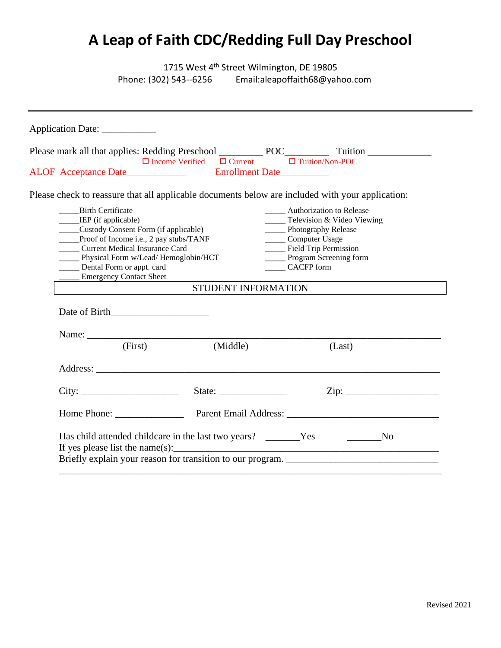# **A Leap of Faith CDC/Redding Full Day Preschool**

1715 West 4<sup>th</sup> Street Wilmington, DE 19805<br>Phone: (302) 543--6256 Email:aleapoffaith68@yah Email: aleapoffaith 68@yahoo.com

|                                                                                                                                                                                                                                                                                                    | $\Box$ Income Verified $\Box$ Current $\Box$ Tuition/Non-POC |                                                                                                                                                                                                                     |                     |
|----------------------------------------------------------------------------------------------------------------------------------------------------------------------------------------------------------------------------------------------------------------------------------------------------|--------------------------------------------------------------|---------------------------------------------------------------------------------------------------------------------------------------------------------------------------------------------------------------------|---------------------|
| Please check to reassure that all applicable documents below are included with your application:                                                                                                                                                                                                   |                                                              |                                                                                                                                                                                                                     |                     |
| <b>Birth Certificate</b><br>_____IEP (if applicable)<br>____Custody Consent Form (if applicable)<br>____Proof of Income i.e., 2 pay stubs/TANF<br>_____ Current Medical Insurance Card<br>____ Physical Form w/Lead/ Hemoglobin/HCT<br>Dental Form or appt. card<br><b>Emergency Contact Sheet</b> |                                                              | <b>Authorization to Release</b><br>$\frac{1}{2}$ Television & Video Viewing<br>____ Photography Release<br>_____ Computer Usage<br>____ Field Trip Permission<br>______ Program Screening form<br><b>CACFP</b> form | STUDENT INFORMATION |
| (First)                                                                                                                                                                                                                                                                                            | (Middle)                                                     |                                                                                                                                                                                                                     | (Last)              |
|                                                                                                                                                                                                                                                                                                    | Address:                                                     |                                                                                                                                                                                                                     |                     |
|                                                                                                                                                                                                                                                                                                    |                                                              |                                                                                                                                                                                                                     |                     |
|                                                                                                                                                                                                                                                                                                    |                                                              |                                                                                                                                                                                                                     |                     |
|                                                                                                                                                                                                                                                                                                    |                                                              |                                                                                                                                                                                                                     |                     |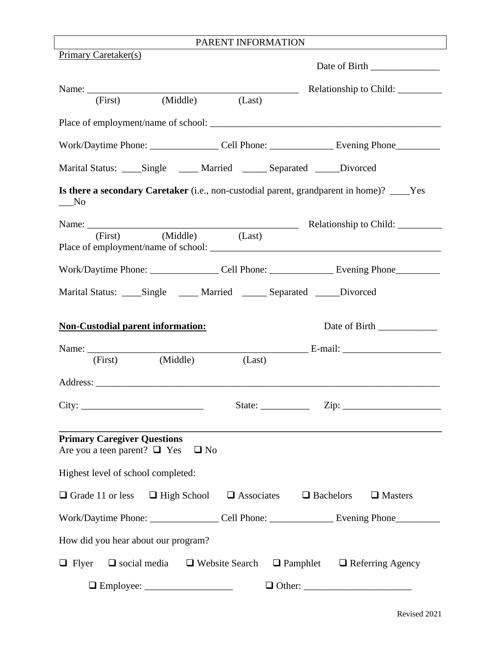# PARENT INFORMATION

| <b>Primary Caretaker(s)</b>                                                                                   |                                      |                                                                                                            |
|---------------------------------------------------------------------------------------------------------------|--------------------------------------|------------------------------------------------------------------------------------------------------------|
|                                                                                                               |                                      |                                                                                                            |
| (Middle)<br>(First)                                                                                           | (Last)                               |                                                                                                            |
|                                                                                                               |                                      |                                                                                                            |
|                                                                                                               |                                      | Work/Daytime Phone: ____________________Cell Phone: _____________________________ Evening Phone___________ |
| Marital Status: _____Single ______ Married _______ Separated ______Divorced                                   |                                      |                                                                                                            |
| $\sqrt{a}$ No                                                                                                 |                                      | Is there a secondary Caretaker (i.e., non-custodial parent, grandparent in home)? ____Yes                  |
|                                                                                                               |                                      | Relationship to Child:                                                                                     |
| (Middle)<br>(First)                                                                                           | (Last)                               |                                                                                                            |
|                                                                                                               |                                      | Work/Daytime Phone: __________________Cell Phone: _____________________ Evening Phone______________        |
| Marital Status: _____Single ______ Married _______ Separated ______Divorced                                   |                                      |                                                                                                            |
| <b>Non-Custodial parent information:</b>                                                                      |                                      | Date of Birth _____________                                                                                |
|                                                                                                               |                                      |                                                                                                            |
| (Middle)<br>(First)                                                                                           | (Last)                               |                                                                                                            |
|                                                                                                               |                                      |                                                                                                            |
| City:                                                                                                         |                                      | State: $\qquad \qquad \text{Zip: } \qquad$                                                                 |
| <b>Primary Caregiver Questions</b><br>Are you a teen parent? $\Box$ Yes<br>Highest level of school completed: | $\Box$ No                            |                                                                                                            |
| $\Box$ Grade 11 or less                                                                                       | $\Box$ High School $\Box$ Associates | $\Box$ Bachelors<br>$\Box$ Masters                                                                         |
|                                                                                                               |                                      | Work/Daytime Phone: ___________________Cell Phone: _______________________Evening Phone_____________       |
| How did you hear about our program?                                                                           |                                      |                                                                                                            |
| $\Box$ Flyer<br>$\Box$ social media $\Box$ Website Search                                                     |                                      | $\Box$ Pamphlet $\Box$ Referring Agency                                                                    |
|                                                                                                               |                                      |                                                                                                            |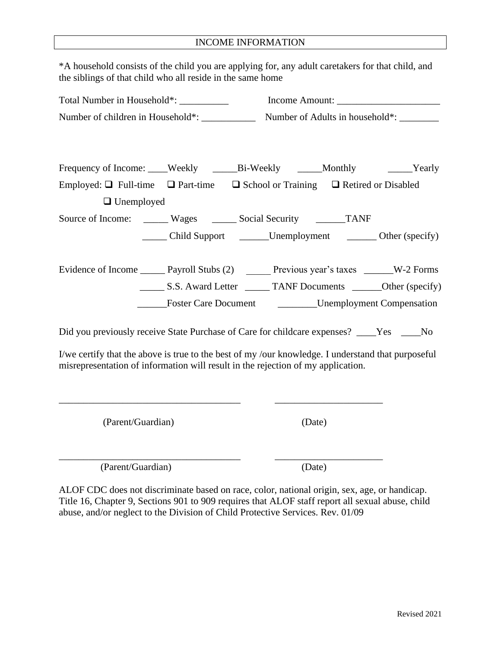### INCOME INFORMATION

\*A household consists of the child you are applying for, any adult caretakers for that child, and the siblings of that child who all reside in the same home

| Total Number in Household*: __________<br>Number of children in Household*: ___________          |  |                                           |  |  | Income Amount: $\sqrt{\frac{2}{1-\frac{1}{2}} \cdot \frac{1}{2-\frac{1}{2}} \cdot \frac{1}{2-\frac{1}{2}} \cdot \frac{1}{2-\frac{1}{2}}}$ |
|--------------------------------------------------------------------------------------------------|--|-------------------------------------------|--|--|-------------------------------------------------------------------------------------------------------------------------------------------|
|                                                                                                  |  | Number of Adults in household*: _________ |  |  |                                                                                                                                           |
|                                                                                                  |  |                                           |  |  |                                                                                                                                           |
| Frequency of Income: ____Weekly _______Bi-Weekly ______Monthly _______Yearly                     |  |                                           |  |  |                                                                                                                                           |
| Employed: $\Box$ Full-time $\Box$ Part-time $\Box$ School or Training $\Box$ Retired or Disabled |  |                                           |  |  |                                                                                                                                           |
| $\Box$ Unemployed                                                                                |  |                                           |  |  |                                                                                                                                           |
| Source of Income: _______ Wages _______ Social Security ________ TANF                            |  |                                           |  |  |                                                                                                                                           |
|                                                                                                  |  |                                           |  |  | Child Support _________Unemployment ____________ Other (specify)                                                                          |
|                                                                                                  |  |                                           |  |  |                                                                                                                                           |
| Evidence of Income ________ Payroll Stubs (2) ________ Previous year's taxes _______W-2 Forms    |  |                                           |  |  |                                                                                                                                           |
|                                                                                                  |  |                                           |  |  | S.S. Award Letter ________ TANF Documents ________ Other (specify)                                                                        |
|                                                                                                  |  |                                           |  |  | <b>Example 5 Foster Care Document Compared Compared Compensation</b>                                                                      |
|                                                                                                  |  |                                           |  |  |                                                                                                                                           |

Did you previously receive State Purchase of Care for childcare expenses? \_\_\_\_Yes \_\_\_\_No

I/we certify that the above is true to the best of my /our knowledge. I understand that purposeful misrepresentation of information will result in the rejection of my application.

\_\_\_\_\_\_\_\_\_\_\_\_\_\_\_\_\_\_\_\_\_\_\_\_\_\_\_\_\_\_\_\_\_\_\_\_\_ \_\_\_\_\_\_\_\_\_\_\_\_\_\_\_\_\_\_\_\_\_\_

\_\_\_\_\_\_\_\_\_\_\_\_\_\_\_\_\_\_\_\_\_\_\_\_\_\_\_\_\_\_\_\_\_\_\_\_\_ \_\_\_\_\_\_\_\_\_\_\_\_\_\_\_\_\_\_\_\_\_\_

(Parent/Guardian) (Date)

(Parent/Guardian) (Date)

ALOF CDC does not discriminate based on race, color, national origin, sex, age, or handicap. Title 16, Chapter 9, Sections 901 to 909 requires that ALOF staff report all sexual abuse, child abuse, and/or neglect to the Division of Child Protective Services. Rev. 01/09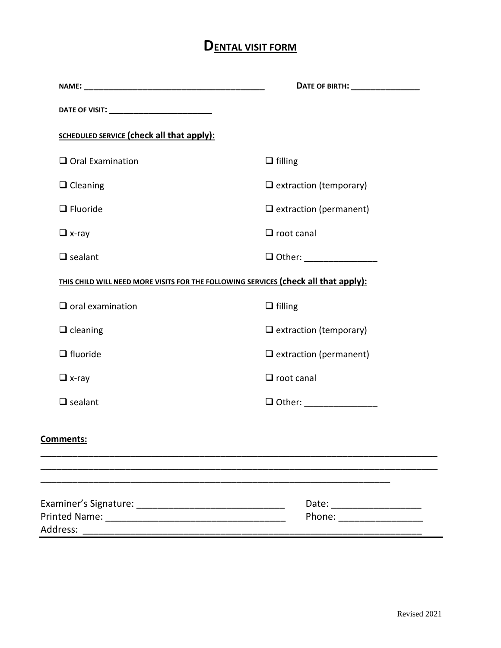# **DENTAL VISIT FORM**

|                                                                                     | DATE OF BIRTH: _________________ |  |
|-------------------------------------------------------------------------------------|----------------------------------|--|
| DATE OF VISIT: __________________________                                           |                                  |  |
| <b>SCHEDULED SERVICE (check all that apply):</b>                                    |                                  |  |
| $\Box$ Oral Examination                                                             | $\Box$ filling                   |  |
| $\Box$ Cleaning                                                                     | $\Box$ extraction (temporary)    |  |
| $\Box$ Fluoride                                                                     | $\Box$ extraction (permanent)    |  |
| $\Box$ x-ray                                                                        | $\Box$ root canal                |  |
| $\Box$ sealant                                                                      | □ Other: _________________       |  |
| THIS CHILD WILL NEED MORE VISITS FOR THE FOLLOWING SERVICES (check all that apply): |                                  |  |
| $\Box$ oral examination                                                             | $\Box$ filling                   |  |
| $\Box$ cleaning                                                                     | $\Box$ extraction (temporary)    |  |
| $\Box$ fluoride                                                                     | $\Box$ extraction (permanent)    |  |
| $\Box$ x-ray                                                                        | $\Box$ root canal                |  |
| $\Box$ sealant                                                                      | $\Box$ Other: ________________   |  |
| <b>Comments:</b>                                                                    |                                  |  |
|                                                                                     | Date: ________________           |  |
|                                                                                     | Phone: ___________________       |  |
|                                                                                     |                                  |  |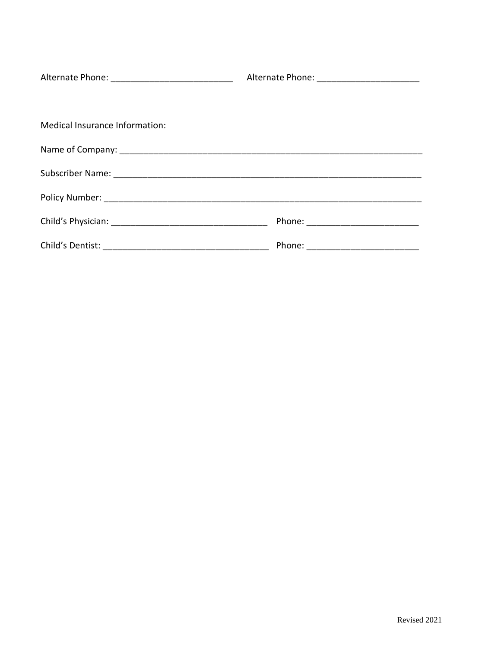| Alternate Phone: _______________________________ | Alternate Phone: _________________________ |  |
|--------------------------------------------------|--------------------------------------------|--|
|                                                  |                                            |  |
| Medical Insurance Information:                   |                                            |  |
|                                                  |                                            |  |
|                                                  |                                            |  |
|                                                  |                                            |  |
|                                                  |                                            |  |
|                                                  | Phone: ____________________________        |  |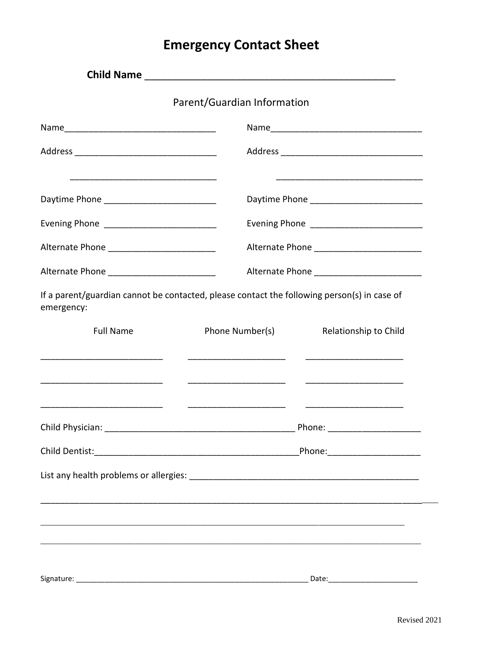# **Emergency Contact Sheet**

|                                                                                                           | Parent/Guardian Information |                                            |
|-----------------------------------------------------------------------------------------------------------|-----------------------------|--------------------------------------------|
|                                                                                                           |                             |                                            |
|                                                                                                           |                             |                                            |
|                                                                                                           |                             |                                            |
| Evening Phone ____________________________                                                                |                             |                                            |
|                                                                                                           |                             |                                            |
| Alternate Phone ____________________________                                                              |                             | Alternate Phone __________________________ |
| If a parent/guardian cannot be contacted, please contact the following person(s) in case of<br>emergency: |                             |                                            |
| <b>Full Name</b>                                                                                          | Phone Number(s)             | Relationship to Child                      |
|                                                                                                           |                             |                                            |
|                                                                                                           |                             |                                            |
|                                                                                                           |                             |                                            |
|                                                                                                           |                             | _Phone:_________________________           |
| Signature:                                                                                                |                             | Date:                                      |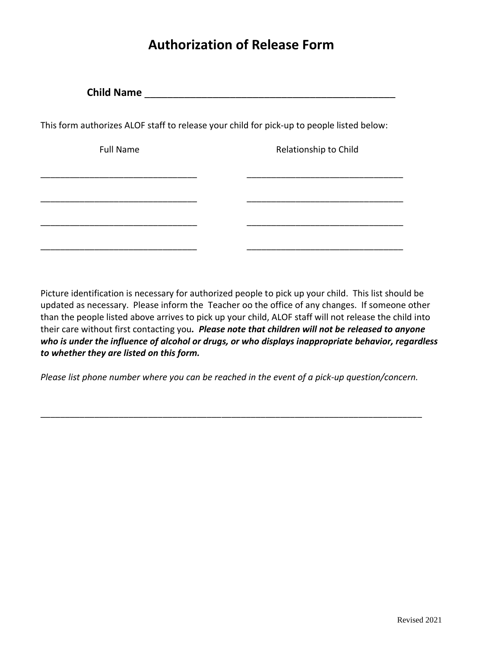# **Authorization of Release Form**

| <b>Child Name</b>                                                                         |                       |
|-------------------------------------------------------------------------------------------|-----------------------|
| This form authorizes ALOF staff to release your child for pick-up to people listed below: |                       |
| <b>Full Name</b>                                                                          | Relationship to Child |
|                                                                                           |                       |
|                                                                                           |                       |
|                                                                                           |                       |
|                                                                                           |                       |

Picture identification is necessary for authorized people to pick up your child. This list should be updated as necessary. Please inform the Teacher oo the office of any changes. If someone other than the people listed above arrives to pick up your child, ALOF staff will not release the child into their care without first contacting you*. Please note that children will not be released to anyone who is under the influence of alcohol or drugs, or who displays inappropriate behavior, regardless to whether they are listed on this form.*

*Please list phone number where you can be reached in the event of a pick-up question/concern.*

\_\_\_\_\_\_\_\_\_\_\_\_\_\_\_\_\_\_\_\_\_\_\_\_\_\_\_\_\_\_\_\_\_\_\_\_\_\_\_\_\_\_\_\_\_\_\_\_\_\_\_\_\_\_\_\_\_\_\_\_\_\_\_\_\_\_\_\_\_\_\_\_\_\_\_\_\_\_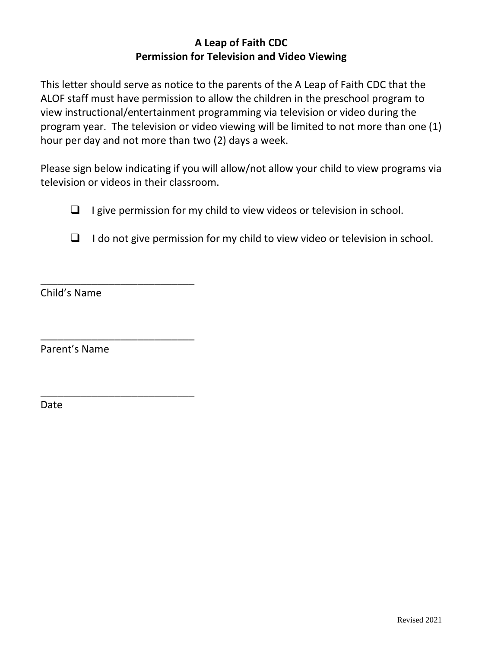## **A Leap of Faith CDC Permission for Television and Video Viewing**

This letter should serve as notice to the parents of the A Leap of Faith CDC that the ALOF staff must have permission to allow the children in the preschool program to view instructional/entertainment programming via television or video during the program year. The television or video viewing will be limited to not more than one (1) hour per day and not more than two (2) days a week.

Please sign below indicating if you will allow/not allow your child to view programs via television or videos in their classroom.

- $\Box$  I give permission for my child to view videos or television in school.
- $\Box$  I do not give permission for my child to view video or television in school.

Child's Name

\_\_\_\_\_\_\_\_\_\_\_\_\_\_\_\_\_\_\_\_\_\_\_\_\_\_\_

\_\_\_\_\_\_\_\_\_\_\_\_\_\_\_\_\_\_\_\_\_\_\_\_\_\_\_

\_\_\_\_\_\_\_\_\_\_\_\_\_\_\_\_\_\_\_\_\_\_\_\_\_\_\_

Parent's Name

Date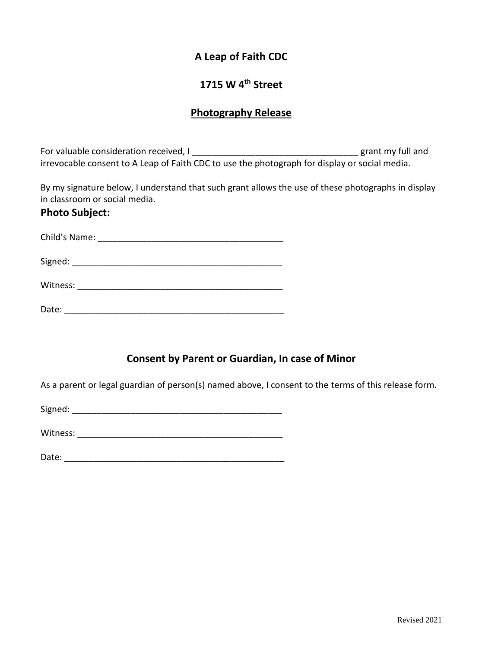## **A Leap of Faith CDC**

## **1715 W 4th Street**

### **Photography Release**

For valuable consideration received, I \_\_\_\_\_\_\_\_\_\_\_\_\_\_\_\_\_\_\_\_\_\_\_\_\_\_\_\_\_\_\_\_\_\_ grant my full and irrevocable consent to A Leap of Faith CDC to use the photograph for display or social media.

By my signature below, I understand that such grant allows the use of these photographs in display in classroom or social media.

### **Photo Subject:**

| Child's Name: |  |  |  |
|---------------|--|--|--|
| Signed:       |  |  |  |
| Witness:      |  |  |  |

Date: \_\_\_\_\_\_\_\_\_\_\_\_\_\_\_\_\_\_\_\_\_\_\_\_\_\_\_\_\_\_\_\_\_\_\_\_\_\_\_\_\_\_\_\_\_

## **Consent by Parent or Guardian, In case of Minor**

As a parent or legal guardian of person(s) named above, I consent to the terms of this release form.

Signed:  $\Box$ 

Witness: \_\_\_\_\_\_\_\_\_\_\_\_\_\_\_\_\_\_\_\_\_\_\_\_\_\_\_\_\_\_\_\_\_\_\_\_\_\_\_\_\_\_

Date: \_\_\_\_\_\_\_\_\_\_\_\_\_\_\_\_\_\_\_\_\_\_\_\_\_\_\_\_\_\_\_\_\_\_\_\_\_\_\_\_\_\_\_\_\_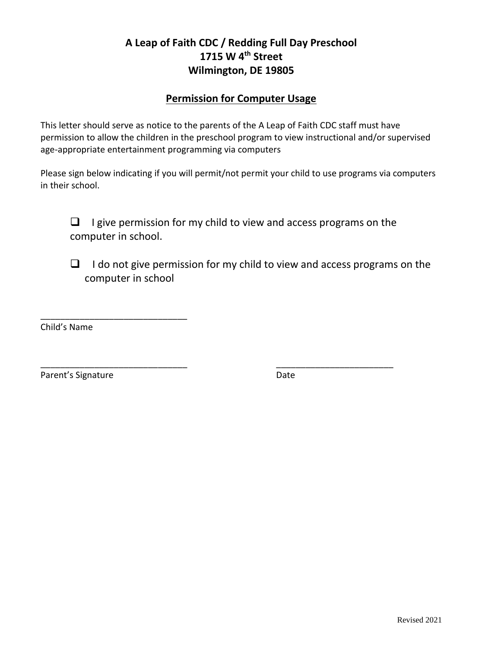# **A Leap of Faith CDC / Redding Full Day Preschool 1715 W 4th Street Wilmington, DE 19805**

### **Permission for Computer Usage**

This letter should serve as notice to the parents of the A Leap of Faith CDC staff must have permission to allow the children in the preschool program to view instructional and/or supervised age-appropriate entertainment programming via computers

Please sign below indicating if you will permit/not permit your child to use programs via computers in their school.

 $\Box$  I give permission for my child to view and access programs on the computer in school.

\_\_\_\_\_\_\_\_\_\_\_\_\_\_\_\_\_\_\_\_\_\_\_\_\_\_\_\_\_\_ \_\_\_\_\_\_\_\_\_\_\_\_\_\_\_\_\_\_\_\_\_\_\_\_

❑ I do not give permission for my child to view and access programs on the computer in school

Child's Name

Parent's Signature Date

\_\_\_\_\_\_\_\_\_\_\_\_\_\_\_\_\_\_\_\_\_\_\_\_\_\_\_\_\_\_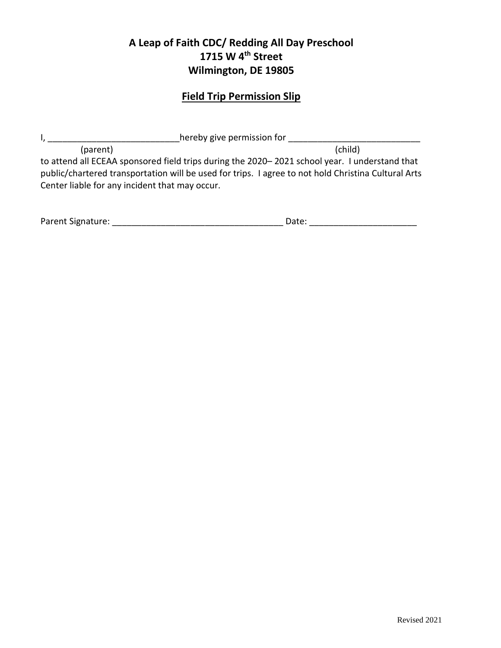# **A Leap of Faith CDC/ Redding All Day Preschool 1715 W 4 th Street Wilmington, DE 19805**

# **Field Trip Permission Slip**

| hereby give permission for                                                                                                                                                                                                                             |         |
|--------------------------------------------------------------------------------------------------------------------------------------------------------------------------------------------------------------------------------------------------------|---------|
| (parent)                                                                                                                                                                                                                                               | (child) |
| to attend all ECEAA sponsored field trips during the 2020–2021 school year. I understand that<br>public/chartered transportation will be used for trips. I agree to not hold Christina Cultural Arts<br>Center liable for any incident that may occur. |         |

| Parent Signature: | Date: |  |
|-------------------|-------|--|
|                   |       |  |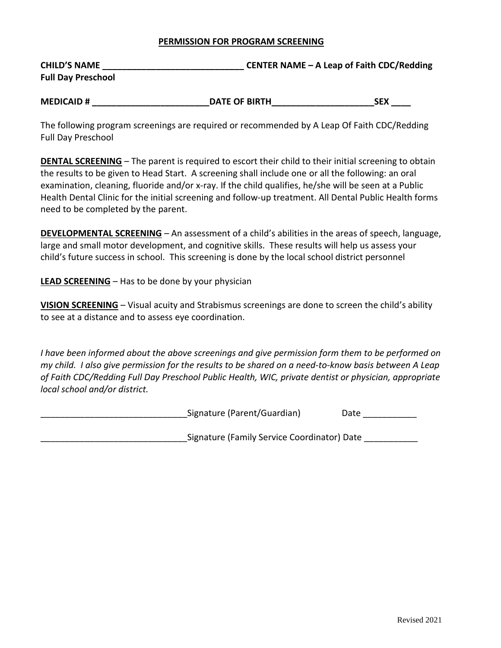### **PERMISSION FOR PROGRAM SCREENING**

| <b>CHILD'S NAME</b>       | CENTER NAME – A Leap of Faith CDC/Redding |
|---------------------------|-------------------------------------------|
| <b>Full Day Preschool</b> |                                           |

| <b>MEDICAID#</b> | <b>DATE OF BIRTH</b> | ъF |
|------------------|----------------------|----|
|                  |                      |    |

The following program screenings are required or recommended by A Leap Of Faith CDC/Redding Full Day Preschool

**DENTAL SCREENING** – The parent is required to escort their child to their initial screening to obtain the results to be given to Head Start. A screening shall include one or all the following: an oral examination, cleaning, fluoride and/or x-ray. If the child qualifies, he/she will be seen at a Public Health Dental Clinic for the initial screening and follow-up treatment. All Dental Public Health forms need to be completed by the parent.

**DEVELOPMENTAL SCREENING** – An assessment of a child's abilities in the areas of speech, language, large and small motor development, and cognitive skills. These results will help us assess your child's future success in school. This screening is done by the local school district personnel

**LEAD SCREENING** – Has to be done by your physician

**VISION SCREENING** – Visual acuity and Strabismus screenings are done to screen the child's ability to see at a distance and to assess eye coordination.

*I have been informed about the above screenings and give permission form them to be performed on my child. I also give permission for the results to be shared on a need-to-know basis between A Leap of Faith CDC/Redding Full Day Preschool Public Health, WIC, private dentist or physician, appropriate local school and/or district.*

| Signature (Parent/Guardian)                 | Date |  |  |  |
|---------------------------------------------|------|--|--|--|
| Signature (Family Service Coordinator) Date |      |  |  |  |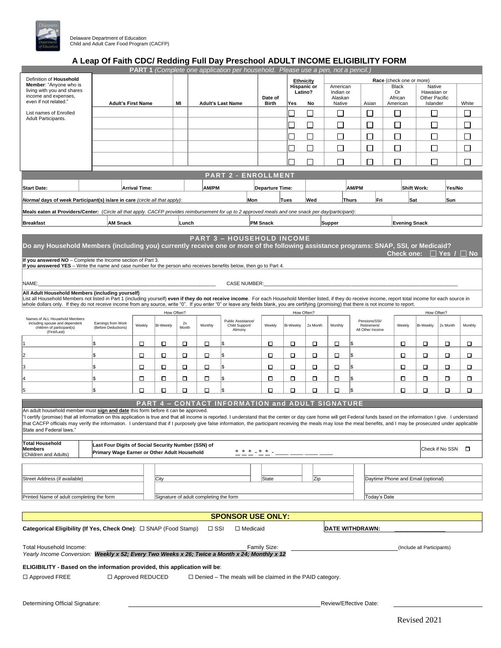

### **A Leap Of Faith CDC/ Redding Full Day Preschool ADULT INCOME ELIGIBILITY FORM**

|                                                                                                                                                                                                                                                                  |                                                                                                     |                      |                  |             |                                        | PART 1 (Complete one application per household. Please use a pen, not a pencil.) |                         |                  |              |                   |                                 |                                    |                                   |          |         |
|------------------------------------------------------------------------------------------------------------------------------------------------------------------------------------------------------------------------------------------------------------------|-----------------------------------------------------------------------------------------------------|----------------------|------------------|-------------|----------------------------------------|----------------------------------------------------------------------------------|-------------------------|------------------|--------------|-------------------|---------------------------------|------------------------------------|-----------------------------------|----------|---------|
| Definition of Household                                                                                                                                                                                                                                          |                                                                                                     |                      |                  |             |                                        |                                                                                  |                         | Ethnicity        |              |                   |                                 | Race (check one or more)           |                                   |          |         |
| Member: "Anyone who is                                                                                                                                                                                                                                           |                                                                                                     |                      |                  |             |                                        |                                                                                  |                         |                  | Hispanic or  | American          |                                 | Black                              | Native                            |          |         |
| living with you and shares<br>income and expenses,                                                                                                                                                                                                               |                                                                                                     |                      |                  |             |                                        |                                                                                  |                         | Latino?          |              | Indian or         |                                 | Or                                 | Hawaiian or                       |          |         |
| even if not related."                                                                                                                                                                                                                                            | <b>Adult's First Name</b>                                                                           |                      |                  | MI          |                                        | <b>Adult's Last Name</b>                                                         | Date of<br><b>Birth</b> | Yes              | No           | Alaskan<br>Native | Asian                           | African<br>American                | Other Pacific<br>Islander         |          | White   |
| List names of Enrolled                                                                                                                                                                                                                                           |                                                                                                     |                      |                  |             |                                        |                                                                                  |                         |                  | П            |                   | П                               |                                    |                                   |          |         |
| Adult Participants.                                                                                                                                                                                                                                              |                                                                                                     |                      |                  |             |                                        |                                                                                  |                         |                  |              | □                 |                                 | $\Box$                             |                                   |          | $\Box$  |
|                                                                                                                                                                                                                                                                  |                                                                                                     |                      |                  |             |                                        |                                                                                  |                         |                  |              | Г                 | $\sim$                          | $\Box$                             |                                   |          | $\Box$  |
|                                                                                                                                                                                                                                                                  |                                                                                                     |                      |                  |             |                                        |                                                                                  |                         |                  |              |                   |                                 |                                    |                                   |          | П       |
|                                                                                                                                                                                                                                                                  |                                                                                                     |                      |                  |             |                                        |                                                                                  |                         |                  | $\mathsf{L}$ | П                 | □                               | □                                  | $\mathsf{L}$                      |          |         |
|                                                                                                                                                                                                                                                                  |                                                                                                     |                      |                  |             |                                        |                                                                                  |                         |                  | $\mathsf{L}$ | П                 | $\mathbf{L}$                    | П                                  |                                   |          | П       |
|                                                                                                                                                                                                                                                                  |                                                                                                     |                      |                  |             |                                        |                                                                                  |                         |                  |              |                   |                                 |                                    |                                   |          |         |
|                                                                                                                                                                                                                                                                  |                                                                                                     |                      |                  |             |                                        |                                                                                  |                         |                  |              | П                 | П                               | П                                  |                                   |          | П       |
|                                                                                                                                                                                                                                                                  |                                                                                                     |                      |                  |             |                                        | <b>PART 2 - ENROLLMENT</b>                                                       |                         |                  |              |                   |                                 |                                    |                                   |          |         |
|                                                                                                                                                                                                                                                                  |                                                                                                     |                      |                  |             |                                        |                                                                                  |                         |                  |              |                   |                                 |                                    |                                   |          |         |
| <b>Start Date:</b>                                                                                                                                                                                                                                               |                                                                                                     | <b>Arrival Time:</b> |                  |             | AM/PM                                  |                                                                                  | <b>Departure Time:</b>  |                  |              |                   | AM/PM                           |                                    | <b>Shift Work:</b>                | Yes/No   |         |
| Normal days of week Participant(s) is/are in care (circle all that apply):                                                                                                                                                                                       |                                                                                                     |                      |                  |             |                                        | Mon                                                                              |                         | Tues             | Wed          | Thurs             | Fri                             |                                    | Sat                               | Sun      |         |
|                                                                                                                                                                                                                                                                  |                                                                                                     |                      |                  |             |                                        |                                                                                  |                         |                  |              |                   |                                 |                                    |                                   |          |         |
| Meals eaten at Providers/Center: (Circle all that apply. CACFP provides reimbursement for up to 2 approved meals and one snack per day/participant):                                                                                                             |                                                                                                     |                      |                  |             |                                        |                                                                                  |                         |                  |              |                   |                                 |                                    |                                   |          |         |
| <b>Breakfast</b>                                                                                                                                                                                                                                                 | <b>AM Snack</b>                                                                                     |                      |                  | Lunch       |                                        |                                                                                  | <b>PM Snack</b>         |                  |              | Supper            |                                 | <b>Evening Snack</b>               |                                   |          |         |
|                                                                                                                                                                                                                                                                  |                                                                                                     |                      |                  |             |                                        |                                                                                  |                         |                  |              |                   |                                 |                                    |                                   |          |         |
|                                                                                                                                                                                                                                                                  |                                                                                                     |                      |                  |             |                                        | <b>PART 3 - HOUSEHOLD INCOME</b>                                                 |                         |                  |              |                   |                                 |                                    |                                   |          |         |
| Do any Household Members (including you) currently receive one or more of the following assistance programs: SNAP, SSI, or Medicaid?                                                                                                                             |                                                                                                     |                      |                  |             |                                        |                                                                                  |                         |                  |              |                   |                                 |                                    |                                   |          |         |
|                                                                                                                                                                                                                                                                  |                                                                                                     |                      |                  |             |                                        |                                                                                  |                         |                  |              |                   |                                 |                                    | Check one: $\Box$ Yes / $\Box$ No |          |         |
| If you answered NO - Complete the Income section of Part 3.<br>If you answered YES - Write the name and case number for the person who receives benefits below, then go to Part 4.                                                                               |                                                                                                     |                      |                  |             |                                        |                                                                                  |                         |                  |              |                   |                                 |                                    |                                   |          |         |
|                                                                                                                                                                                                                                                                  |                                                                                                     |                      |                  |             |                                        |                                                                                  |                         |                  |              |                   |                                 |                                    |                                   |          |         |
| NAME:                                                                                                                                                                                                                                                            |                                                                                                     |                      |                  |             |                                        | <b>CASE NUMBER:</b>                                                              |                         |                  |              |                   |                                 |                                    |                                   |          |         |
|                                                                                                                                                                                                                                                                  |                                                                                                     |                      |                  |             |                                        |                                                                                  |                         |                  |              |                   |                                 |                                    |                                   |          |         |
| All Adult Household Members (including yourself)<br>List all Household Members not listed in Part 1 (including yourself) even if they do not receive income. For each Household Member listed, if they do receive income, report total income for each source in |                                                                                                     |                      |                  |             |                                        |                                                                                  |                         |                  |              |                   |                                 |                                    |                                   |          |         |
| whole dollars only. If they do not receive income from any source, write "0". If you enter "0" or leave any fields blank, you are certifying (promising) that there is not income to report.                                                                     |                                                                                                     |                      |                  |             |                                        |                                                                                  |                         |                  |              |                   |                                 |                                    |                                   |          |         |
|                                                                                                                                                                                                                                                                  |                                                                                                     |                      | How Often?       |             |                                        |                                                                                  |                         | How Often?       |              |                   |                                 |                                    | How Often?                        |          |         |
| Names of ALL Household Members                                                                                                                                                                                                                                   |                                                                                                     |                      |                  |             |                                        | Public Assistance/                                                               |                         |                  |              |                   | Pensions/SSI/                   |                                    |                                   |          |         |
| including spouse and dependent<br>children of participant(s)                                                                                                                                                                                                     | Earnings from Work<br>(Before Deductions)                                                           | Weekly               | <b>Bi-Weekly</b> | 2x<br>Month | Monthly                                | Child Support/<br>Alimony                                                        | Weekly                  | <b>Bi-Weekly</b> | 2x Month     | Monthly           | Retirement/<br>All Other Income | Weekly                             | <b>Bi-Weekly</b>                  | 2x Month | Monthly |
| (First/Last)                                                                                                                                                                                                                                                     |                                                                                                     |                      |                  |             |                                        |                                                                                  |                         |                  |              |                   |                                 |                                    |                                   |          |         |
|                                                                                                                                                                                                                                                                  |                                                                                                     | □                    | □                | □           | о                                      | l\$                                                                              | □                       | 0                | □            | о                 | \$                              | о                                  | □                                 | □        | о       |
|                                                                                                                                                                                                                                                                  |                                                                                                     | □                    |                  |             |                                        | l\$                                                                              | О                       |                  |              |                   | \$                              |                                    | □                                 |          |         |
|                                                                                                                                                                                                                                                                  |                                                                                                     |                      | □                | □           | □                                      |                                                                                  |                         | □                | □            | □                 |                                 | □                                  |                                   | □        | □       |
|                                                                                                                                                                                                                                                                  |                                                                                                     | □                    | □                | □           | □                                      | Ι\$                                                                              | о                       | □                | □            | о                 | \$                              | □                                  | □                                 | □        | □       |
|                                                                                                                                                                                                                                                                  |                                                                                                     | □                    | □                | о           | о                                      | l\$                                                                              | □                       | □                | □            | о<br>l\$          |                                 | □                                  | □                                 | □        | о       |
|                                                                                                                                                                                                                                                                  |                                                                                                     |                      |                  |             |                                        |                                                                                  |                         |                  |              |                   |                                 |                                    |                                   |          |         |
| 5                                                                                                                                                                                                                                                                | l\$                                                                                                 | □                    | □                | О           | о                                      | l\$                                                                              | □                       | О                | □            | О<br>l\$          |                                 | □                                  | □                                 | □        | о       |
|                                                                                                                                                                                                                                                                  |                                                                                                     |                      |                  |             |                                        | <b>PART 4 - CONTACT INFORMATION and ADULT SIGNATURE</b>                          |                         |                  |              |                   |                                 |                                    |                                   |          |         |
| An adult household member must sign and date this form before it can be approved.                                                                                                                                                                                |                                                                                                     |                      |                  |             |                                        |                                                                                  |                         |                  |              |                   |                                 |                                    |                                   |          |         |
| "I certify (promise) that all information on this application is true and that all income is reported. I understand that the center or day care home will get Federal funds based on the information I give. I understand                                        |                                                                                                     |                      |                  |             |                                        |                                                                                  |                         |                  |              |                   |                                 |                                    |                                   |          |         |
| that CACFP officials may verify the information. I understand that if I purposely give false information, the participant receiving the meals may lose the meal benefits, and I may be prosecuted under applicable                                               |                                                                                                     |                      |                  |             |                                        |                                                                                  |                         |                  |              |                   |                                 |                                    |                                   |          |         |
| State and Federal laws."                                                                                                                                                                                                                                         |                                                                                                     |                      |                  |             |                                        |                                                                                  |                         |                  |              |                   |                                 |                                    |                                   |          |         |
| <b>Total Household</b>                                                                                                                                                                                                                                           |                                                                                                     |                      |                  |             |                                        |                                                                                  |                         |                  |              |                   |                                 |                                    |                                   |          |         |
| <b>Members</b>                                                                                                                                                                                                                                                   | Last Four Digits of Social Security Number (SSN) of<br>Primary Wage Earner or Other Adult Household |                      |                  |             |                                        | * * * _ * *                                                                      |                         |                  |              |                   |                                 |                                    | Check if No SSN                   |          | □       |
| (Children and Adults)                                                                                                                                                                                                                                            |                                                                                                     |                      |                  |             |                                        |                                                                                  |                         |                  |              |                   |                                 |                                    |                                   |          |         |
|                                                                                                                                                                                                                                                                  |                                                                                                     |                      |                  |             |                                        |                                                                                  |                         |                  |              |                   |                                 |                                    |                                   |          |         |
|                                                                                                                                                                                                                                                                  |                                                                                                     |                      |                  |             |                                        |                                                                                  |                         |                  |              |                   |                                 |                                    |                                   |          |         |
| Street Address (if available)                                                                                                                                                                                                                                    |                                                                                                     |                      | City             |             |                                        |                                                                                  | State                   |                  | Zip          |                   |                                 | Daytime Phone and Email (optional) |                                   |          |         |
|                                                                                                                                                                                                                                                                  |                                                                                                     |                      |                  |             |                                        |                                                                                  |                         |                  |              |                   |                                 |                                    |                                   |          |         |
| Printed Name of adult completing the form                                                                                                                                                                                                                        |                                                                                                     |                      |                  |             | Signature of adult completing the form |                                                                                  |                         |                  |              |                   | Today's Date                    |                                    |                                   |          |         |
|                                                                                                                                                                                                                                                                  |                                                                                                     |                      |                  |             |                                        |                                                                                  |                         |                  |              |                   |                                 |                                    |                                   |          |         |
|                                                                                                                                                                                                                                                                  |                                                                                                     |                      |                  |             |                                        | <b>SPONSOR USE ONLY:</b>                                                         |                         |                  |              |                   |                                 |                                    |                                   |          |         |
|                                                                                                                                                                                                                                                                  |                                                                                                     |                      |                  |             |                                        |                                                                                  |                         |                  |              |                   |                                 |                                    |                                   |          |         |
| Categorical Eligibility (If Yes, Check One): □ SNAP (Food Stamp)                                                                                                                                                                                                 |                                                                                                     |                      |                  |             | $\Box$ SSI                             | $\Box$ Medicaid                                                                  |                         |                  |              |                   | DATE WITHDRAWN:                 |                                    |                                   |          |         |
|                                                                                                                                                                                                                                                                  |                                                                                                     |                      |                  |             |                                        |                                                                                  |                         |                  |              |                   |                                 |                                    |                                   |          |         |
| Total Household Income:<br>Family Size:<br>(Include all Participants)                                                                                                                                                                                            |                                                                                                     |                      |                  |             |                                        |                                                                                  |                         |                  |              |                   |                                 |                                    |                                   |          |         |
| Yearly Income Conversion: Weekly x 52; Every Two Weeks x 26; Twice a Month x 24; Monthly x 12                                                                                                                                                                    |                                                                                                     |                      |                  |             |                                        |                                                                                  |                         |                  |              |                   |                                 |                                    |                                   |          |         |
| ELIGIBILITY - Based on the information provided, this application will be:                                                                                                                                                                                       |                                                                                                     |                      |                  |             |                                        |                                                                                  |                         |                  |              |                   |                                 |                                    |                                   |          |         |
|                                                                                                                                                                                                                                                                  |                                                                                                     |                      |                  |             |                                        |                                                                                  |                         |                  |              |                   |                                 |                                    |                                   |          |         |
| $\Box$ Approved FREE                                                                                                                                                                                                                                             | □ Approved REDUCED                                                                                  |                      |                  |             |                                        | $\Box$ Denied – The meals will be claimed in the PAID category.                  |                         |                  |              |                   |                                 |                                    |                                   |          |         |
|                                                                                                                                                                                                                                                                  |                                                                                                     |                      |                  |             |                                        |                                                                                  |                         |                  |              |                   |                                 |                                    |                                   |          |         |
|                                                                                                                                                                                                                                                                  |                                                                                                     |                      |                  |             |                                        |                                                                                  |                         |                  |              |                   |                                 |                                    |                                   |          |         |
| Determining Official Signature:                                                                                                                                                                                                                                  |                                                                                                     |                      |                  |             |                                        |                                                                                  |                         |                  |              |                   | Review/Effective Date:          |                                    |                                   |          |         |
|                                                                                                                                                                                                                                                                  |                                                                                                     |                      |                  |             |                                        |                                                                                  |                         |                  |              |                   |                                 |                                    |                                   |          |         |